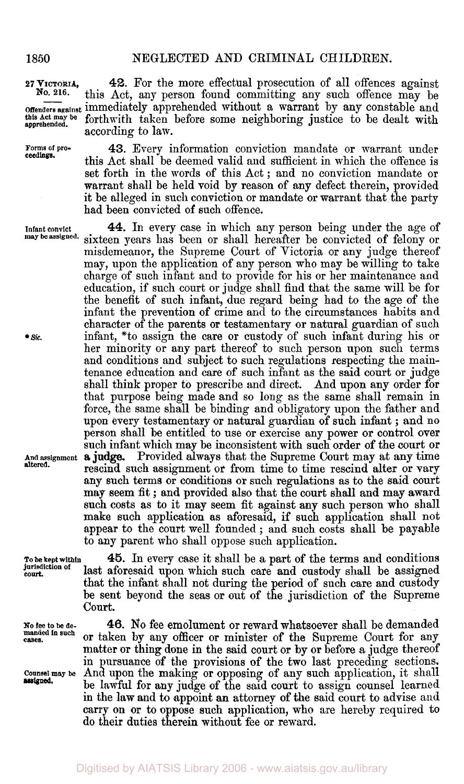**ceedings.** 

**lnfant convict may be assigned.** 

**Sic.** 

**And assignment a** judge. **altered.** 

**To be kept within jurisdiction of court.** 

**45.** In every case it shall be a part **of** the terms and conditions last aforesaid upon which such care **and** custody shall be assigned that the infant shall not during the period of such care and custody be sent beyond the seas or out of the jurisdiction of the Supreme Court.

**46.** No fee emolument or reward whatsoever shall be demanded or taken by any officer or minister of the Supreme Court for any matter **or** thing done in the said court or by or before **a** judge thereof in pursuance of the provisions of the two last preceding sections.

be lawful for **any** judge of the said court to assign counsel learned in the law and to appoint **an** attorney of the said court to advise and **carry** on or to oppose such application, who are hereby required to

**No fee to be demanded in such cases.** 

**Counsel may be** And upon the **making** or opposing of any such application, it shall **assigned.** 

**27 VICTORIA, 42.** For the more effectual prosecution of all offences against No. 216. this Act any person found committing any such offence may be this Act, any person found committing any such offence may be Offenders against immediately apprehended without a warrant by any constable and this act may be forthwith taken before some neighboring justice to be dealt with forthwith taken before some neighboring justice to be dealt with according to lam.

**Forms of pro- 43.** Every information conviction mandate or warrant under this Act shall be deemed valid and sufficient in which the offence is set forth in the words of this Act ; and no conviction mandate or warrant shall be held void by reason of any defect therein, provided it be alleged in such conviction or mandate or warrant that the party had been convicted of such offence.

> **44.** In every case in which any person being under the age of sixteen years has been or shall hereafter be convicted of felony or misdemeanor, the Supreme Court of Victoria or any judge thereof may, upon the application of any person who may be willing to take charge of such infant and to provide for his or her maintenance and education, if such court or judge shall find that the same will be for the benefit of such infant, due regard being had to the age of the infant the prevention of crime and to the circumstances habits and character of the parents or testamentary or natural guardian of such infant, \*to assign the care **or** custody of such infant during his or her minority or any part thereof to such person upon such terms and conditions and subject to such regulations respecting the maintenance education and care of such infant as the said court or judge shall think proper to prescribe and direct. And upon any order for that purpose being made and so long as the same shall remain in force, the same shall be binding and obligatory upon the father and **upon** every testamentary or natural guardian of such infant ; and no person shall be entitled to use or exercise any power **or** control over such infant which may be inconsistent with such order **of** the court or Provided always that the Supreme Court may at **any** time rescind such assignment or from time to time rescind alter or vary any such terms or conditions or such regulations as to the said court may seem fit ; **and** provided also that the court shall **and** may award such costs *as* to it may seem fit against any such person who shall make such application as aforesaid, **if** such application shall not appear to the court well founded ; and such costs shall be payable to any parent who shall oppose such application.

do their duties therein without fee or reward.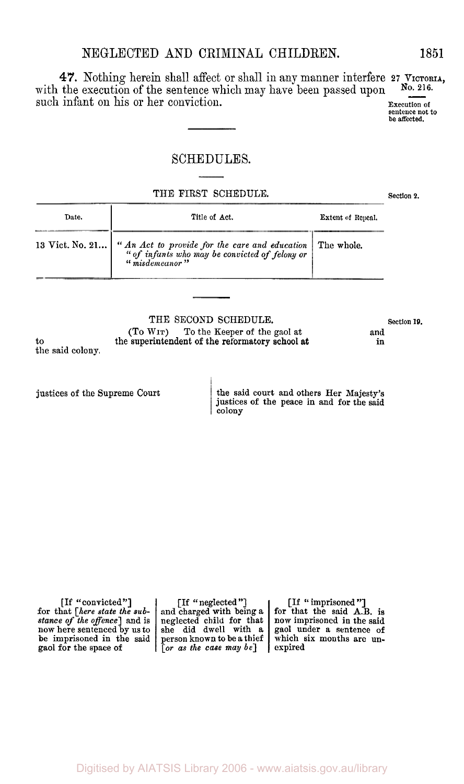# NEGLECTED **AND** CRIMINAL CHILDREN.

**47.** Nothing herein shall affect or shall in any manner interfere 27 VICTORIA, WEGLECTED AND CRIMINAL CHILDREN. 1851<br>47. Nothing herein shall affect or shall in any manner interfere 27 VICTORIA,<br>with the execution of the sentence which may have been passed upon  $N_0$ . 216.<br>such infant on his or her c

## SCHEDULES.

THE FIRST SCHEDULE. Section 2.

| Date. | Title of Act.                                                                                                                                | <b>Extent of Repeal.</b> |
|-------|----------------------------------------------------------------------------------------------------------------------------------------------|--------------------------|
|       | 13 Vict. No. 21 "An Act to provide for the care and education The whole.<br>"" of infants who may be convicted of felony or" "" misdemeanor" |                          |

the said colony. THE SECOND SCHEDULE. Section 19.<br>
(To Wir) To the Keeper of the gaol at and To the Keeper of the gaol at and<br>
in the formatory school at and<br>
in the superintendent of the reformatory school at

justices of the Supreme Court

to

the said court and others Her Majesty's justices of the peace in and for the said colony

| [If "convicted"]<br>for that [here state the sub-<br>stance of the offence] and is<br>now here sentenced by us to<br>be imprisoned in the said<br>gaol for the space of | [If "neglected"]<br>$\lfloor$ $\lceil$ or as the case may be | [If "imprisoned"]<br>and charged with being a for that the said A.B. is<br>neglected child for that   now imprisoned in the said<br>she did dwell with a gaol under a sentence of<br>person known to be a thief which six months are un-<br>l expired |
|-------------------------------------------------------------------------------------------------------------------------------------------------------------------------|--------------------------------------------------------------|-------------------------------------------------------------------------------------------------------------------------------------------------------------------------------------------------------------------------------------------------------|
|-------------------------------------------------------------------------------------------------------------------------------------------------------------------------|--------------------------------------------------------------|-------------------------------------------------------------------------------------------------------------------------------------------------------------------------------------------------------------------------------------------------------|

### **1851**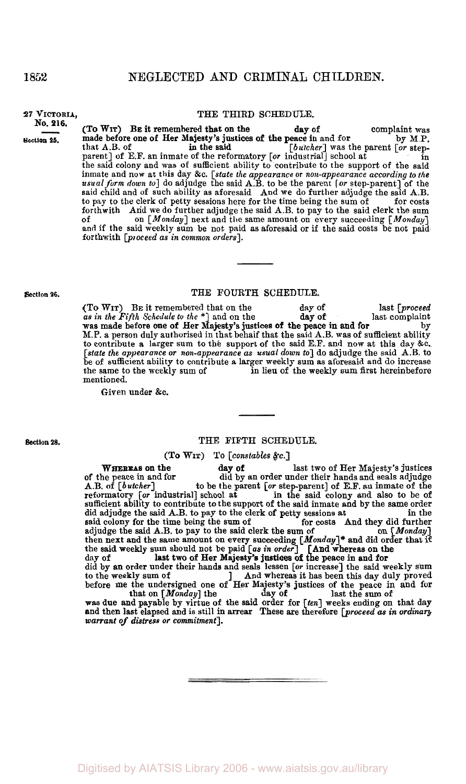#### **NO. 216.**

**Section 25.** 

### **27 VICTORIA,** THE THIRD **SCHEDULE.**

**(To WIT) BE** it remembered that on the day of complaint was made before one of Her Majesty's justices of the peace in and for by **M.P.**  that A.B. of  $\qquad \qquad$  in the said  $\qquad \qquad$  [butcher] was the parent [or stepparent] of E.F. an inmate of the reformatory [or industrial] school at in in the said colony and was of sufficient ability to contribute to the support of the said inmate and now at this day &c. [state the appearance or noli-appearance according to the *usual* form down to] do adjudge the said **A.B.** to be the parent **[or** step-parent] of the said child and of such ability as aforesaid And we do further adjudge the said **A.B.**  to pay to the clerk of petty sessions here for the time being the sum of for costs forthwith **And we do further adjudge the said A.B.** to pay to the said clerk the sum of  $[Moday]$  next and the same amount on every succeeding  $[Moday]$ and if the said weekly sum be not paid as aforesaid or if the said costs be not paid forthwith [proceed as in common orders]. in the said

#### **Section 26. THE FOURTH SCHEDULE.**

**(To WIT) BE** it remembered that on the day of last [proceed *as* in the Fifth Schedule to the \*] and on the last complaint by M.P. a person duly authorised in that behaif that the said **A.B.** was of sufficient ability to contribute a larger sum to **the** support of the said E.F. and **now** at this day **&c.**  [state the appearance or non-appearance as usual down to] do adjudge the said **A.B.** to be of sufficient ability to contribute **a** larger weekly sum as aforesaid and do increase in lieu of the weekly sum first hereinbefore mentioned. day of was made before one of Her Majesty's justices of the peace in and for

Given under **&c.** 

### **Section 28.** THE FIFTH SCHEDULE.

(To **WIT)** To [consfables &c.]

**WHEREAS on the day of last two of Her Majesty's justices** of the peace in and for did by an order under their hands and seals adjudge A.B. of [butcher] to be the parent [or step-parent] of E.F. an inmate of the reformatory [or industrial] school at in the said colony and also to be of sufficient ability to contribute to the support of the said inmate and **by** the same order did adjudge the said A.B. to pay to the clerk of petty sessions at in the said colony for the time being the sum of for costs And they did further said colony for the time being the sum of for costs And they did further adjudge the said A.B. to pay to the said clerk the sum of on  $[Monday]$ adjudge the said A.B. to pay to the said clerk the sum of then next and the same amount on every succeeding [Monday]\* and did order that if the said weekly sum should not be paid *[as in order*] [And whereas on the day of **last two of Her Majesty's justices of the peace in and for**<br>did by an order under their hands and seals lessen [*or* increase] the said weekly sum to the weekly sum of and whereas it has been this day duly proved before me the undersigned one of Her Majesty's justices of the peace in and for that on [Monday] the day of last the sum of was due and payable by virtue of the said order for [ten] weeks ending on that day um should not be paid [as in order] [And whereas on the<br>last two of Her Majesty's justices of the peace in and for

and then last elapsed and is still in arrear These are therefore [proceed **as** in ordinary warrant *of* distress or commitment].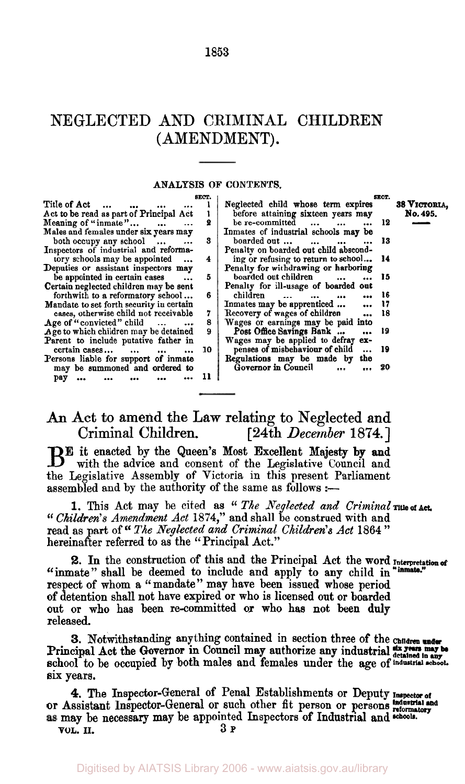# NEGLECTED AND CRIMINAL CHILDREN (AMENDMENT).

**1853** 

#### **ANALYSIS OF CONTENTS.**

|                                                  | SECT. |                                                         | SRCT. |              |
|--------------------------------------------------|-------|---------------------------------------------------------|-------|--------------|
| Title of Act<br>$\sim$                           |       | Neglected child whose term expires                      |       | 38 VICTORIA, |
| Act to be read as part of Principal Act          |       | before attaining sixteen years may                      |       | No. 495.     |
| Meaning of "inmate" $\ldots$                     | 2     | be re-committed<br>$\mathbf{r}$                         | 12    |              |
| Males and females under six years may            |       | Inmates of industrial schools may be                    |       |              |
| both occupy any school                           | 3     | boarded out<br>$\cdots$                                 | -13   |              |
| Inspectors of industrial and reforma-            |       | Penalty on boarded out child abscond-                   |       |              |
| tory schools may be appointed                    | 4     | ing or refusing to return to school                     | - 14  |              |
| Deputies or assistant inspectors may             |       | Penalty for withdrawing or harboring                    |       |              |
| be appointed in certain cases                    | 5     | boarded out children                                    | 15    |              |
| Certain neglected children may be sent           |       | Penalty for ill-usage of boarded out                    |       |              |
| forthwith to a reformatory school                | 6     | children<br>$\overline{a}$<br>$\sim$ $\sim$<br>$\cdots$ | 16    |              |
| Mandate to set forth security in certain         |       | Inmates may be apprenticed                              | 17    |              |
| cases, otherwise child not receivable            | 7     | Recovery of wages of children                           | 18    |              |
| Age of "convicted" child<br>$\cdots$<br>$\cdots$ | 8     | Wages or earnings may be paid into                      |       |              |
| Age to which children may be detained            | 9     | Post Office Savings Bank<br>$\ddot{\phantom{a}}$        | 19    |              |
| Parent to include putative father in             |       | Wages may be applied to defray ex-                      |       |              |
| $certain cases$<br>$\cdots$                      | 10    | penses of misbehaviour of child<br>$\cdots$             | - 19  |              |
| Persons liable for support of inmate             |       | Regulations may be made by<br>the                       |       |              |
| may be summoned and ordered to                   |       | Governor in Council                                     | -20   |              |
| рау                                              | 11    |                                                         |       |              |
|                                                  |       |                                                         |       |              |

**An** Act to amend the Law relating to Neglected and Criminal Children. [24th *December* 1874.]

BE it enacted by the Queen's Most Excellent Majesty by and with the advice and consent of the Legislative Council and the Legislative Assembly of Victoria in this present Parliament assembled and by the authority of the same as follows :-

*" Children's Amendment Act* 1874," and shall be construed with and read as part of *The Neglected and Criminal Children's Act 1864* " hereinafter referred to as the "Principal Act.'' 1. This Act may be cited as " The Neglected and Criminal Title of Act.

2. In the construction of this and the Principal Act the word Interpretation of "inmate" shall be deemed to include and apply to any child in respect of whom **a** "mandate" may have been issued whose period of detention shall not have expired or who is licensed out or boarded out or who has been re-committed or who has not **been** duly released.

**3.** Notwithstanding anything contained in section three of the **Children**  Principal Act the Governor in Council may authorize any industrial detained in any be school to be occupied by both males and females under the age of industrial achool. six years.

*4.* The Inspector-General of Penal Establishments or Deputy **Inspector of**  Industrial and or Assistant Inspector-General or such other fit person or persons **reformatory**  may be necessary may be appointed Inspectors of Industrial and **schools VOL.** II. **3P**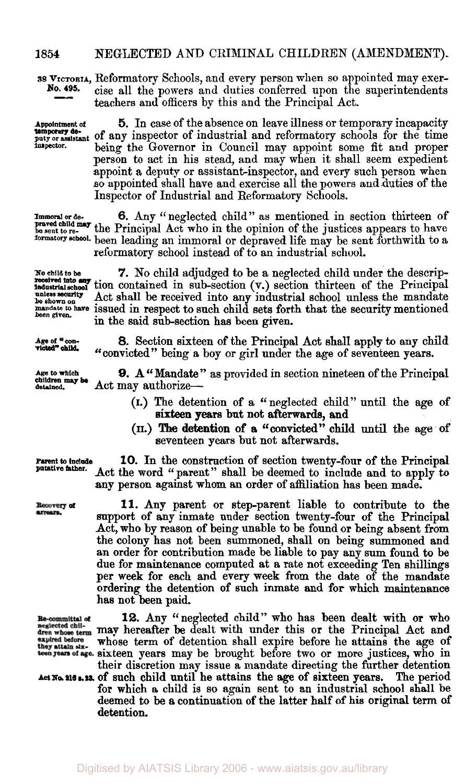#### **1854 NEGLECTED** AND CRIMINAL CHILDREN (AMENDMENT).

**as VICTORIA,** Reformatory Schools, and every person when so appointed may exercise all the powers and duties conferred upon the superintendents teachers **and** officers by this and the Principal Act. **No. 495.** 

**Appointment** of **5.** In case of the absence on leave illness or temporary incapacity **temporary de-**<br>puty or assistant of any inspector of industrial and reformatory schools for the time<br>threetor. haing the Governor in Conneil may appoint some fit and proper being the Governor in Council may appoint some fit and proper person to act in his stead, and may when it shall seem expedient appoint a deputy or assistant inspector, and every such person when so appointed shall have and exercise all the powers and duties of the Inspector of Industrial and Reformatory Schools.

**Immoral** *or* de- *6.* Any "neglected child" as mentioned in section thirteen of **be sent to re-** the Principal Act who in the opinion of the justices appears to have **praved child may formatory school.** been leading an immoral or depraved life may be sent forthwith to a reformatory school instead of to an industrial school.

**No child** *to* **be** *7.* No child adjudged to be a neglected child under the descrip-**Industrial school** tion contained in sub-section **(v.)** section thirteen of the Principal **ntceived into any unless security** Act shall be received into any industrial school unless the mandate *mandate to have* issued in respect to such child sets forth that the security mentioned in the said sub-section has been given.

> **8.** Section sixteen of the Principal Act shall apply to any child "convicted" being a boy or girl under the age of seventeen years.

detained. Act may authorize-**9.** A "Mandate" as provided in section nineteen of the Principal

- (I.) The detention of a "neglected child" until the age of sixteen years but not afterwards, and
- (II.) The detention of **a** "convicted" child until the age of seventeen years but not afterwards.

**Parent to include**<br>putative father.

**Recovery of**<br>arrears.

Re-committel of neglected chilexpired before they attain six-

**10.** In the construction of section twenty-four of the Principal Act the word "parent" shall be deemed to include and to apply to any person against whom an order of affiliation has been made.

**11.** Any parent or step-parent liable to contribute to the support of any inmate under section twenty-four of the Principal Act, who by reason of being unable to be found or being absent from the colony has not been summoned, shall on being summoned and an order for contribution made be liable to pay any sum found to be due for maintenance computed at a rate not exceeding Ten shillings per week for each and every week from the date of the mandate ordering the detention of such inmate and for which maintenance has not been paid.

**12.** Any "neglected child" who has been dealt with or who neglected chil-<br>dren whose term may hereafter be dealt with under this or the Principal Act and whose term of detention shall expire before he attains the age of they attain six-<br>teen years of age. Sixteen years may be brought before two or more justices, who in their discretion may issue a mandate directing the further detention

The period for which a child is so again sent to an industrial school shall be deemed to be **a** continuation of the latter half of his original **term** *of*  detention. Act No. 216 s. 23, of such child until he attains the age of sixteen years.

**temporary de-**

**unless security** 

**victed"** *child* 

**Age to which**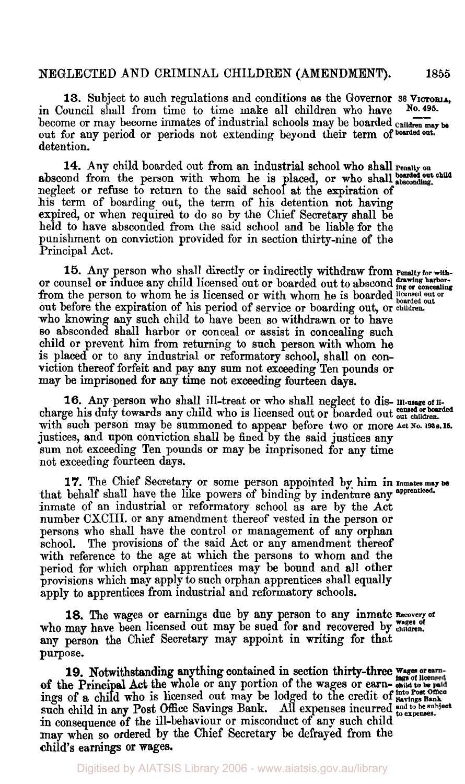## NEGLECTED **AND** CRIMINAL CHILDREN **(AMENDMENT).** 1855

**13.** Subject to such regulations and conditions as the Governor 38 VICTORIA, <br>
puncil shall from time to time make all children who have No. 495. in Council shall from time to time make all children who have 13. Subject to such regulations and conditions as the Governor 38 Victoria,<br>in Council shall from time to time make all children who have No. 495.<br>become or may become inmates of industrial schools may be boarded children out for any period **or** periods not extending beyond their term **of boarded out.**  detention.

14. Any child boarded out from an industrial school who shall renaity on abscond from the person with whom he is placed, or who shall boarded out child neglect or refuse to return to the said school at the expiration of his term of boarding out, the term of his detention not having expired, or when required to do **so by** the Chief Secretary shall be held to have absconded from the said school and be liable for the punishment on conviction provided for in section thirty-nine of the Principal Act.

**or** counsel **or** induce any child licensed out or boarded out to abscond from the person to whom he is licensed or with whom he is boarded **licensed** out or out before the expiration of his period of service **or** boarding out, or **children**  who knowing **any** such child to have been **so** withdrawn or to have *so* absconded shall harbor or conceal **or** assist in concealing such child **or** prevent him from returning to such person with whom he is placed or to any industrial **or** reformatory school, shall **on** conviction thereof forfeit and pay **any sum** not exceeding Ten pounds **or may** be imprisoned for any time not exceeding fourteen days. 15. Any person who shall directly or indirectly withdraw from Penalty for with

16. Any person who shall ill-treat or who shall neglect to dis- Ill-usage of licharge his duty towards any child who is licensed out or boarded out out children. with such person may be summoned to appear before two or more Act No. 1938.15. justices, and upon conviction shall be fined by the said justices any **sum** not exceeding Ten pounds or may be imprisoned for **any** time not exceeding fourteen days.

that behalf shall have the like powers of binding by indenture any **apprenticed**  inmate of an industrial or reformatory school as are by the Act number CXCIII. or any amendment thereof vested in the person **or**  persons who shall have the control or management of any orphan school. The provisions of the said Act or any amendment thereof with reference to the age at which the persons to whom and the period for which orphan apprentices may be bound and all other provisions which may apply to such orphan apprentices shall equally apply to apprentices from industrial and reformatory schools. **17.** The Chief Secretary or some person appointed by him in **Inmates may be** 

**18.** The wages **or** earnings due by **any** person to **any** inmate **Recovery of**  who may have been licensed out may be sued for and recovered by wages of **any person** the Chief Secretary may appoint in writing for that purpose.

of the Principal Act the whole or any portion of the wages or earn- **child to be**  such child in **any** Post Office Savings Bank. All expenses incurred in consequence of the ill-behaviour or misconduct of any such child <sup>to expenses</sup>. may when **so** ordered by the Chief Secretary be defrayed from the child's earnings **or** wages. **19.** Notwithstanding anything contained in section thirty-three *;;gz*  **lnto Post Ofllce and to be subject to expenses.**  ings **of a** child who is licensed out may be lodged to the credit **of Savings Bank** 

**drawing hsarbor-ing or concealing**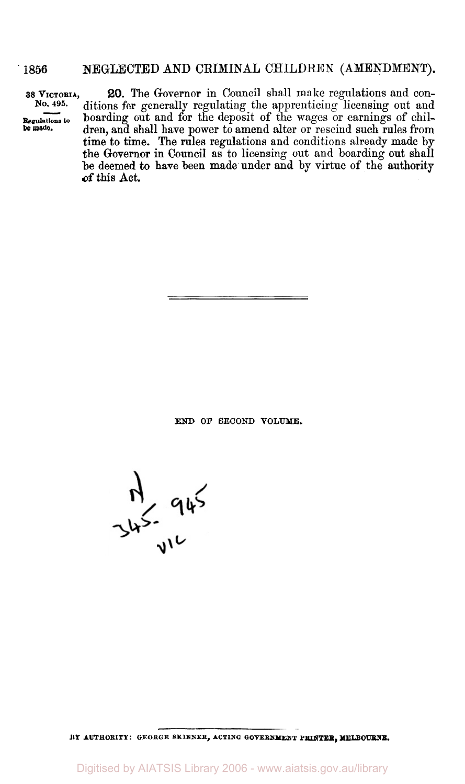## ' **1856 NEGLECTED** AND CRIMINAL CHILDREN (AMENDMENT).

*20.* The Governor in Council shall make regulations and conditions for generally regulating the apprenticing licensing out and boarding out and for the deposit of the wages or earnings of children, and shall have power to amend alter or rescind such rules from time to time. The rules regulations and conditions already made by the Governor in Council as to licensing out and boarding out shall be deemed to have been made under and by virtue of the authority **of** this **Act. 38 VICTORIA, No. 495- Regulations to be made.** 

**END OF SECOND VOLUME.** 

 $745.945$ 

**BY AUTHORITY: GEORGE SKINNER, ACTING GOVERNMENT PRINTER, MELBOUXNE.** 

Digitised by AIATSIS Library 2006 - www.aiatsis.gov.au/library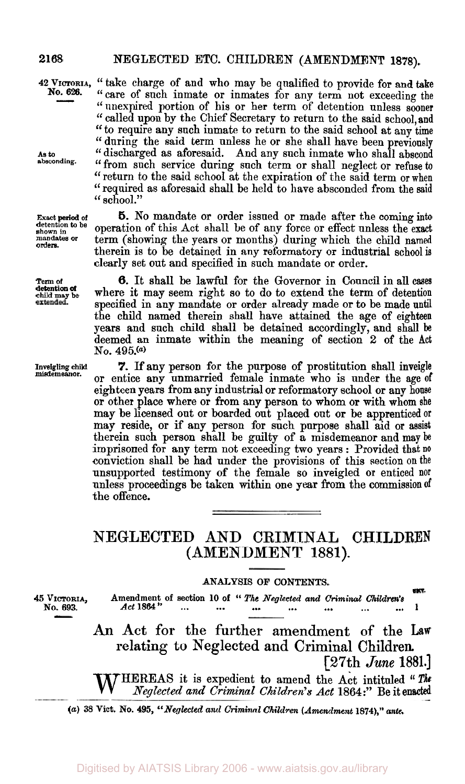**2168** NEGLECTED ETC. CHILDREN (AMENDMENT **1878).** 

**No.626.** 

**As to absconding.** 

**orders.** 

**Term of detention of child may be** 

**Inveigling child misdemeanor.** 

**<sup>42</sup>VICTORIA,** '' take charge of and who may be qualified to provide for and **take**  "care of such inmate or inmates for any term not exceeding the "unexpired portion of his or her term of detention unless sooner "called upon by the Chief Secretary to return to the said school, and " to require any such inmate to return to the said school at any time " during the said term unless he or she shall have been previously " discharged as aforesaid. And any such inmate who shall abscond "from such service during such term or shall neglect or refuse **to**  "return to the said school at the expiration of the said term or when "required as aforesaid shall be held to have absconded from the said " school."

**Exact period of 5.** No mandate or order issued or made after the coming into detention to be approximately and the computation of this Act aboll be of any force on effect unless the purity detention to be operation of this Act shall be of any force or effect unless the exact<br>
mandates or term (showing the years or months) during which the child named term (showing the years or months) during which the child named therein is to be detained in any reformatory or industrial school **is**  clearly set out and specified in such mandate **or** order.

> **6.** It shall be lawful for the Governor in Council in all cases where it may seem right so to do to extend the term of detention specified in any mandate or order already made or to be made **until**  the child named therein shall have attained the age of eighteen years and such child shall be detained accordingly, and shall be deemed an inmate within the meaning of section **2** of the **Act No. 495. (a)**

> *7.* If any person **for** the purpose of prostitution shall inveigle or entice any unmarried female inmate who is under the age of eighteen years from any industrial or reformatory school or any house or other place where or from any person to whom or with whom she may be licensed out or boarded out placed out or be apprenticed or may reside, or if any person for such purpose shall aid **or** assist therein **such** person shall be guilty **of** a misdemeanor and may be imprisoned **for** any term not exceeding two years : Provided that **no**  conviction shall be had under the provisions of this section on the unsupported testimony **of** the female so inveigled **or** enticed nor unless proceedings be taken within one **year from** the commissionof the offence.

# **NEGLECTED AND CRIMINAL CHILDREN (AMENDMENT 1881).**

#### **ANALYSIS OF CONTENTS.**

**SECT. <sup>45</sup>VICTORIA, Amendment, of section 10 of** " *The Neglected and Criminal* Children's **No. 693.** *Act* **1864** ... ... ... ... ... *...* ... **<sup>1</sup>**

> **An Act for the further amendment of** the **Law relating** to **Neglected and Criminal Children. [27th** *June* 1881.]

> WHEREAS it is expedient to amend the Act intituled " **The**  *Neglected and Criminal Children's Act* **1864:"** Be it enacted

*(a) 38* **Vict. No. 495,** *"Neglected and Criminal Children (Amendment* **1874),"** *ante.*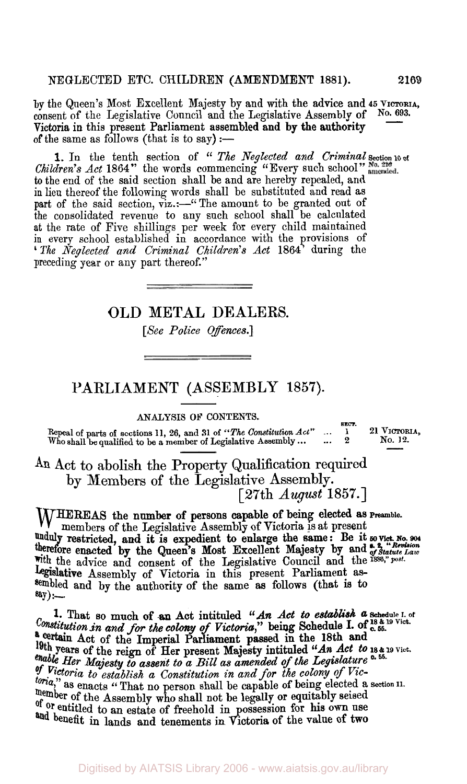by the Queen's Most Excellent Majesty by and with the advice and 45 VICTORIA, consent of the Legislative Council and the Legislative Assembly of No. 693. Victoria in this present Parliament assembled and by the authority 2169<br>ICTORIA,<br>0. 693. of the same as follows (that is to say)  $:$ -

*Children's Act* **1864**. the words commencing "Every such school" to the end of the said section shall be and are hereby repealed, and the end of the said section shall be and are hereby repealed, and in lieu thereof the following words shall be substituted and read as part of the said section, viz.:-" The amount to be granted out of the consolidated revenue to any such school shall be calculated at the rate of Five shillings per week for every child maintained in every school established in accordance with the provisions of *The Neglected and Criminal Children's Act* **1864'** during the preceding year or any part thereof." 1. In the tenth section of " *The Neglected and Criminal* Section 10 of

OLD **METAL** DEALERS.

*[See Police Offences.]* 

# **PARLIAMENT** (ASSEMBLY **1857).**

# **SECT.** ANALYSIS OF CONTENTS.

**Repeal of parts of sections 11, 26, and 31 of** *"The Constitution Act"*  **Who shall be qualified to be a member of Legislative Assembly** ... ... **<sup>1</sup>** ... *<sup>2</sup>* **21 VICTORIA, No. 12.** 

**An Act** to abolish the Property Qualification required by Members **of** the Legislative Assembly. [27th *August* **1857.]** 

WHEREAS the number of persons capable of being elected as **Preamble.**<br>
Here is at present members of the Legislative Assembly of Victoria is at present<br> **Anduly** restricted and it is expedient to enlarge the same: Be it so **with** the advice and consent of the Legislative Council and the1886," post. Legislative Assembly of Victoria in this present Parliament assembled and by the authority of the same as follows (that is **to**  say) : restricted, and it is expedient to enlarge the same: Be it so vict. No. 904 therefore enacted by the Queen's Most Excellent Majesty by and  $\frac{R}{g}$ , "Revision between" and  $\frac{R}{g}$ 

*Constitution in and for the colony of Victoria,"* being Schedule I. of c. **55.**  a certain Act of the Imperial Parliament passed in the 18th and *Her Majesty to assent to a Bill as amended of the Legislature* **55. of** *Victoria to establish a Constitution in and for the colony* of *Victoria*," as enacts "That no person shall be capable of being elected a section 11. member of the Assembly who shall not be legally or equitably seised **Of Or** entitled to an estate of freehold in possession **for own** use **and benefit** in lands and tenements in **Victoria of** the value of **two 1.** That so much **of an** Act intituled *"An Act to establish* **a Schedule I. of 18 & 19 Vict.**  years of the reign of Her present Majesty intituled *"(An Act to* **18** & **19** *Vict.*